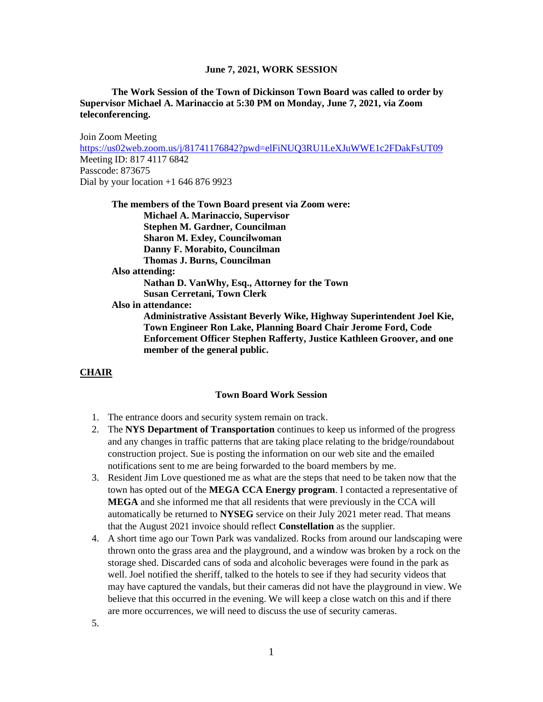## **The Work Session of the Town of Dickinson Town Board was called to order by Supervisor Michael A. Marinaccio at 5:30 PM on Monday, June 7, 2021, via Zoom teleconferencing.**

Join Zoom Meeting <https://us02web.zoom.us/j/81741176842?pwd=elFiNUQ3RU1LeXJuWWE1c2FDakFsUT09> Meeting ID: 817 4117 6842 Passcode: 873675 Dial by your location  $+1$  646 876 9923

**The members of the Town Board present via Zoom were: Michael A. Marinaccio, Supervisor Stephen M. Gardner, Councilman Sharon M. Exley, Councilwoman Danny F. Morabito, Councilman Thomas J. Burns, Councilman Also attending: Nathan D. VanWhy, Esq., Attorney for the Town Susan Cerretani, Town Clerk Also in attendance: Administrative Assistant Beverly Wike, Highway Superintendent Joel Kie, Town Engineer Ron Lake, Planning Board Chair Jerome Ford, Code Enforcement Officer Stephen Rafferty, Justice Kathleen Groover, and one member of the general public.**

#### **CHAIR**

#### **Town Board Work Session**

- 1. The entrance doors and security system remain on track.
- 2. The **NYS Department of Transportation** continues to keep us informed of the progress and any changes in traffic patterns that are taking place relating to the bridge/roundabout construction project. Sue is posting the information on our web site and the emailed notifications sent to me are being forwarded to the board members by me.
- 3. Resident Jim Love questioned me as what are the steps that need to be taken now that the town has opted out of the **MEGA CCA Energy program**. I contacted a representative of **MEGA** and she informed me that all residents that were previously in the CCA will automatically be returned to **NYSEG** service on their July 2021 meter read. That means that the August 2021 invoice should reflect **Constellation** as the supplier.
- 4. A short time ago our Town Park was vandalized. Rocks from around our landscaping were thrown onto the grass area and the playground, and a window was broken by a rock on the storage shed. Discarded cans of soda and alcoholic beverages were found in the park as well. Joel notified the sheriff, talked to the hotels to see if they had security videos that may have captured the vandals, but their cameras did not have the playground in view. We believe that this occurred in the evening. We will keep a close watch on this and if there are more occurrences, we will need to discuss the use of security cameras.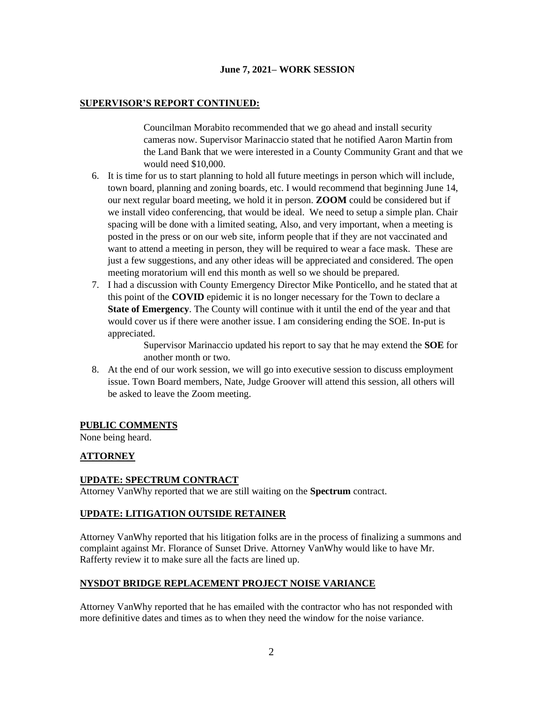## **SUPERVISOR'S REPORT CONTINUED:**

Councilman Morabito recommended that we go ahead and install security cameras now. Supervisor Marinaccio stated that he notified Aaron Martin from the Land Bank that we were interested in a County Community Grant and that we would need \$10,000.

- 6. It is time for us to start planning to hold all future meetings in person which will include, town board, planning and zoning boards, etc. I would recommend that beginning June 14, our next regular board meeting, we hold it in person. **ZOOM** could be considered but if we install video conferencing, that would be ideal. We need to setup a simple plan. Chair spacing will be done with a limited seating, Also, and very important, when a meeting is posted in the press or on our web site, inform people that if they are not vaccinated and want to attend a meeting in person, they will be required to wear a face mask. These are just a few suggestions, and any other ideas will be appreciated and considered. The open meeting moratorium will end this month as well so we should be prepared.
- 7. I had a discussion with County Emergency Director Mike Ponticello, and he stated that at this point of the **COVID** epidemic it is no longer necessary for the Town to declare a **State of Emergency**. The County will continue with it until the end of the year and that would cover us if there were another issue. I am considering ending the SOE. In-put is appreciated.

Supervisor Marinaccio updated his report to say that he may extend the **SOE** for another month or two.

8. At the end of our work session, we will go into executive session to discuss employment issue. Town Board members, Nate, Judge Groover will attend this session, all others will be asked to leave the Zoom meeting.

## **PUBLIC COMMENTS**

None being heard.

# **ATTORNEY**

## **UPDATE: SPECTRUM CONTRACT**

Attorney VanWhy reported that we are still waiting on the **Spectrum** contract.

# **UPDATE: LITIGATION OUTSIDE RETAINER**

Attorney VanWhy reported that his litigation folks are in the process of finalizing a summons and complaint against Mr. Florance of Sunset Drive. Attorney VanWhy would like to have Mr. Rafferty review it to make sure all the facts are lined up.

## **NYSDOT BRIDGE REPLACEMENT PROJECT NOISE VARIANCE**

Attorney VanWhy reported that he has emailed with the contractor who has not responded with more definitive dates and times as to when they need the window for the noise variance.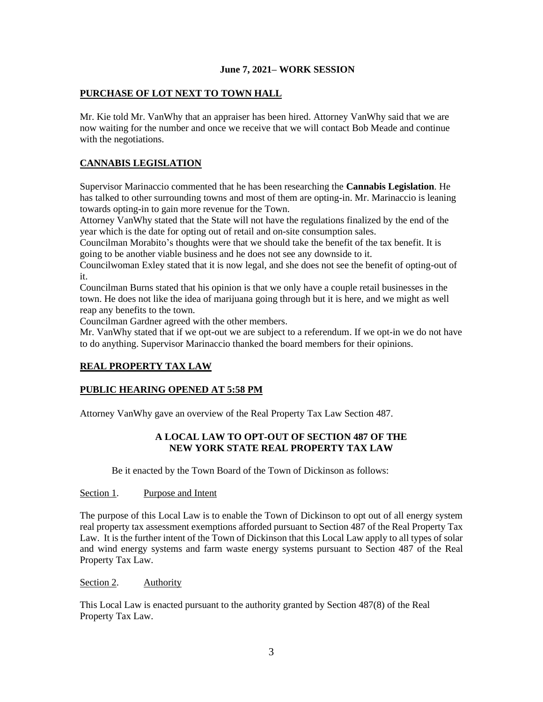# **PURCHASE OF LOT NEXT TO TOWN HALL**

Mr. Kie told Mr. VanWhy that an appraiser has been hired. Attorney VanWhy said that we are now waiting for the number and once we receive that we will contact Bob Meade and continue with the negotiations.

# **CANNABIS LEGISLATION**

Supervisor Marinaccio commented that he has been researching the **Cannabis Legislation**. He has talked to other surrounding towns and most of them are opting-in. Mr. Marinaccio is leaning towards opting-in to gain more revenue for the Town.

Attorney VanWhy stated that the State will not have the regulations finalized by the end of the year which is the date for opting out of retail and on-site consumption sales.

Councilman Morabito's thoughts were that we should take the benefit of the tax benefit. It is going to be another viable business and he does not see any downside to it.

Councilwoman Exley stated that it is now legal, and she does not see the benefit of opting-out of it.

Councilman Burns stated that his opinion is that we only have a couple retail businesses in the town. He does not like the idea of marijuana going through but it is here, and we might as well reap any benefits to the town.

Councilman Gardner agreed with the other members.

Mr. VanWhy stated that if we opt-out we are subject to a referendum. If we opt-in we do not have to do anything. Supervisor Marinaccio thanked the board members for their opinions.

## **REAL PROPERTY TAX LAW**

## **PUBLIC HEARING OPENED AT 5:58 PM**

Attorney VanWhy gave an overview of the Real Property Tax Law Section 487.

# **A LOCAL LAW TO OPT-OUT OF SECTION 487 OF THE NEW YORK STATE REAL PROPERTY TAX LAW**

Be it enacted by the Town Board of the Town of Dickinson as follows:

#### Section 1. Purpose and Intent

The purpose of this Local Law is to enable the Town of Dickinson to opt out of all energy system real property tax assessment exemptions afforded pursuant to Section 487 of the Real Property Tax Law. It is the further intent of the Town of Dickinson that this Local Law apply to all types of solar and wind energy systems and farm waste energy systems pursuant to Section 487 of the Real Property Tax Law.

#### Section 2. Authority

This Local Law is enacted pursuant to the authority granted by Section 487(8) of the Real Property Tax Law.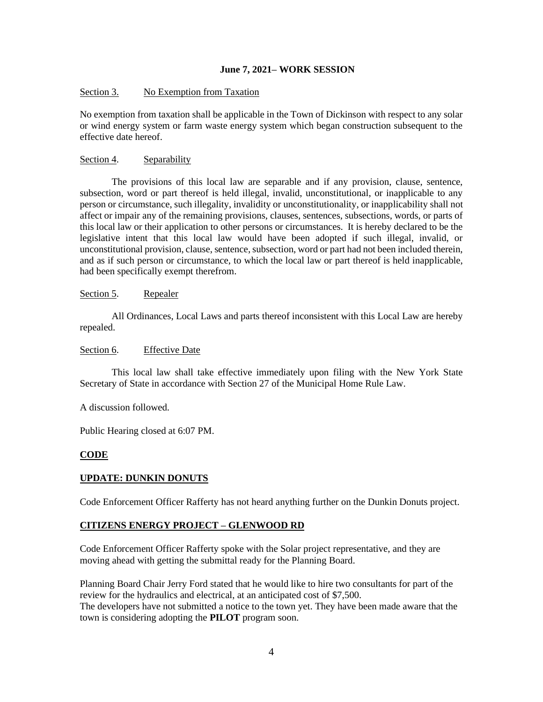#### Section 3. No Exemption from Taxation

No exemption from taxation shall be applicable in the Town of Dickinson with respect to any solar or wind energy system or farm waste energy system which began construction subsequent to the effective date hereof.

#### Section 4. Separability

The provisions of this local law are separable and if any provision, clause, sentence, subsection, word or part thereof is held illegal, invalid, unconstitutional, or inapplicable to any person or circumstance, such illegality, invalidity or unconstitutionality, or inapplicability shall not affect or impair any of the remaining provisions, clauses, sentences, subsections, words, or parts of this local law or their application to other persons or circumstances. It is hereby declared to be the legislative intent that this local law would have been adopted if such illegal, invalid, or unconstitutional provision, clause, sentence, subsection, word or part had not been included therein, and as if such person or circumstance, to which the local law or part thereof is held inapplicable, had been specifically exempt therefrom.

#### Section 5. Repealer

All Ordinances, Local Laws and parts thereof inconsistent with this Local Law are hereby repealed.

# Section 6. Effective Date

This local law shall take effective immediately upon filing with the New York State Secretary of State in accordance with Section 27 of the Municipal Home Rule Law.

A discussion followed.

Public Hearing closed at 6:07 PM.

#### **CODE**

## **UPDATE: DUNKIN DONUTS**

Code Enforcement Officer Rafferty has not heard anything further on the Dunkin Donuts project.

## **CITIZENS ENERGY PROJECT – GLENWOOD RD**

Code Enforcement Officer Rafferty spoke with the Solar project representative, and they are moving ahead with getting the submittal ready for the Planning Board.

Planning Board Chair Jerry Ford stated that he would like to hire two consultants for part of the review for the hydraulics and electrical, at an anticipated cost of \$7,500. The developers have not submitted a notice to the town yet. They have been made aware that the town is considering adopting the **PILOT** program soon.